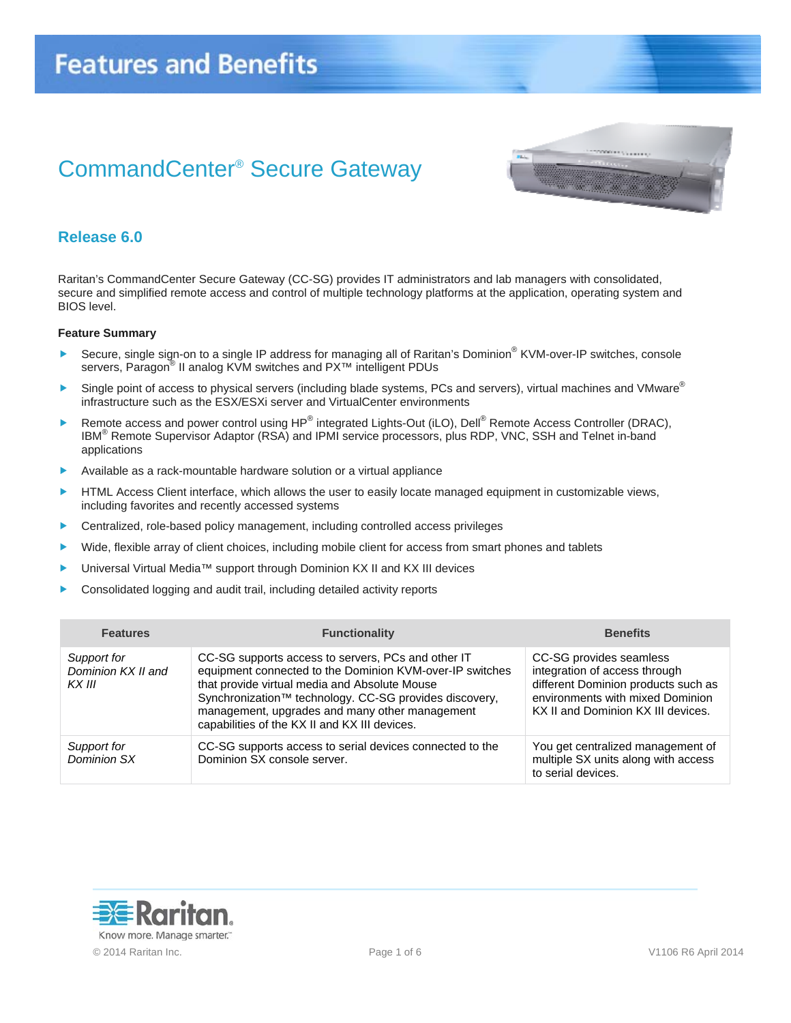# CommandCenter® Secure Gateway



### **Release 6.0**

Raritan's CommandCenter Secure Gateway (CC-SG) provides IT administrators and lab managers with consolidated, secure and simplified remote access and control of multiple technology platforms at the application, operating system and BIOS level.

#### **Feature Summary**

- ▶ Secure, single sign-on to a single IP address for managing all of Raritan's Dominion<sup>®</sup> KVM-over-IP switches, console servers, Paragon® II analog KVM switches and PX™ intelligent PDUs
- Single point of access to physical servers (including blade systems, PCs and servers), virtual machines and VMware<sup>®</sup> infrastructure such as the ESX/ESXi server and VirtualCenter environments
- ▶ Remote access and power control using HP<sup>®</sup> integrated Lights-Out (iLO), Dell<sup>®</sup> Remote Access Controller (DRAC), IBM<sup>®</sup> Remote Supervisor Adaptor (RSA) and IPMI service processors, plus RDP, VNC, SSH and Telnet in-band applications
- Available as a rack-mountable hardware solution or a virtual appliance
- HTML Access Client interface, which allows the user to easily locate managed equipment in customizable views, including favorites and recently accessed systems
- Centralized, role-based policy management, including controlled access privileges
- Wide, flexible array of client choices, including mobile client for access from smart phones and tablets
- ▶ Universal Virtual Media<sup>™</sup> support through Dominion KX II and KX III devices
- Consolidated logging and audit trail, including detailed activity reports

| <b>Features</b>                             | <b>Functionality</b>                                                                                                                                                                                                                                                                                                         | <b>Benefits</b>                                                                                                                                                           |
|---------------------------------------------|------------------------------------------------------------------------------------------------------------------------------------------------------------------------------------------------------------------------------------------------------------------------------------------------------------------------------|---------------------------------------------------------------------------------------------------------------------------------------------------------------------------|
| Support for<br>Dominion KX II and<br>KX III | CC-SG supports access to servers, PCs and other IT<br>equipment connected to the Dominion KVM-over-IP switches<br>that provide virtual media and Absolute Mouse<br>Synchronization™ technology. CC-SG provides discovery,<br>management, upgrades and many other management<br>capabilities of the KX II and KX III devices. | CC-SG provides seamless<br>integration of access through<br>different Dominion products such as<br>environments with mixed Dominion<br>KX II and Dominion KX III devices. |
| Support for<br>Dominion SX                  | CC-SG supports access to serial devices connected to the<br>Dominion SX console server.                                                                                                                                                                                                                                      | You get centralized management of<br>multiple SX units along with access<br>to serial devices.                                                                            |

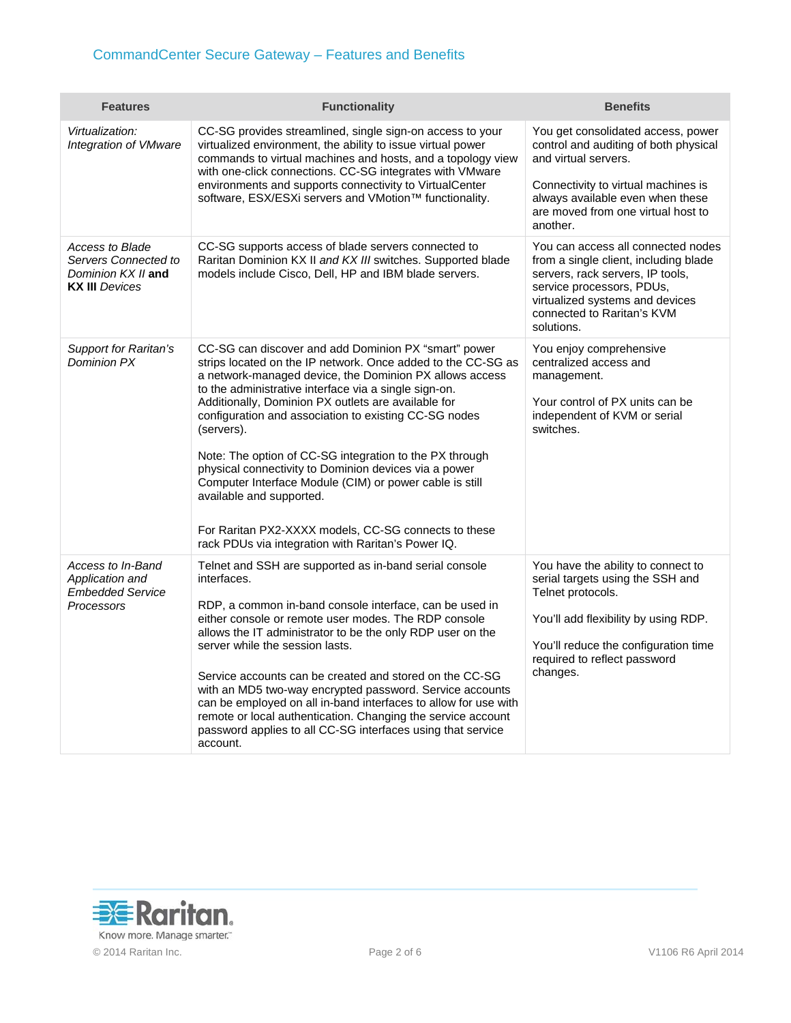| <b>Features</b>                                                                               | <b>Functionality</b>                                                                                                                                                                                                                                                                                                                                                                                                                                                                                                                                                                                                                                                                            | <b>Benefits</b>                                                                                                                                                                                                             |
|-----------------------------------------------------------------------------------------------|-------------------------------------------------------------------------------------------------------------------------------------------------------------------------------------------------------------------------------------------------------------------------------------------------------------------------------------------------------------------------------------------------------------------------------------------------------------------------------------------------------------------------------------------------------------------------------------------------------------------------------------------------------------------------------------------------|-----------------------------------------------------------------------------------------------------------------------------------------------------------------------------------------------------------------------------|
| Virtualization:<br>Integration of VMware                                                      | CC-SG provides streamlined, single sign-on access to your<br>virtualized environment, the ability to issue virtual power<br>commands to virtual machines and hosts, and a topology view<br>with one-click connections. CC-SG integrates with VMware<br>environments and supports connectivity to VirtualCenter<br>software, ESX/ESXi servers and VMotion™ functionality.                                                                                                                                                                                                                                                                                                                        | You get consolidated access, power<br>control and auditing of both physical<br>and virtual servers.                                                                                                                         |
|                                                                                               |                                                                                                                                                                                                                                                                                                                                                                                                                                                                                                                                                                                                                                                                                                 | Connectivity to virtual machines is<br>always available even when these<br>are moved from one virtual host to<br>another.                                                                                                   |
| <b>Access to Blade</b><br>Servers Connected to<br>Dominion KX II and<br><b>KX III</b> Devices | CC-SG supports access of blade servers connected to<br>Raritan Dominion KX II and KX III switches. Supported blade<br>models include Cisco, Dell, HP and IBM blade servers.                                                                                                                                                                                                                                                                                                                                                                                                                                                                                                                     | You can access all connected nodes<br>from a single client, including blade<br>servers, rack servers, IP tools,<br>service processors, PDUs,<br>virtualized systems and devices<br>connected to Raritan's KVM<br>solutions. |
| <b>Support for Raritan's</b><br>Dominion PX                                                   | CC-SG can discover and add Dominion PX "smart" power<br>strips located on the IP network. Once added to the CC-SG as<br>a network-managed device, the Dominion PX allows access<br>to the administrative interface via a single sign-on.<br>Additionally, Dominion PX outlets are available for<br>configuration and association to existing CC-SG nodes<br>(servers).<br>Note: The option of CC-SG integration to the PX through<br>physical connectivity to Dominion devices via a power<br>Computer Interface Module (CIM) or power cable is still<br>available and supported.<br>For Raritan PX2-XXXX models, CC-SG connects to these<br>rack PDUs via integration with Raritan's Power IQ. | You enjoy comprehensive<br>centralized access and<br>management.<br>Your control of PX units can be<br>independent of KVM or serial<br>switches.                                                                            |
| Access to In-Band<br>Application and<br><b>Embedded Service</b><br>Processors                 | Telnet and SSH are supported as in-band serial console<br>interfaces.<br>RDP, a common in-band console interface, can be used in<br>either console or remote user modes. The RDP console<br>allows the IT administrator to be the only RDP user on the<br>server while the session lasts.<br>Service accounts can be created and stored on the CC-SG<br>with an MD5 two-way encrypted password. Service accounts<br>can be employed on all in-band interfaces to allow for use with<br>remote or local authentication. Changing the service account<br>password applies to all CC-SG interfaces using that service<br>account.                                                                  | You have the ability to connect to<br>serial targets using the SSH and<br>Telnet protocols.<br>You'll add flexibility by using RDP.<br>You'll reduce the configuration time<br>required to reflect password<br>changes.     |

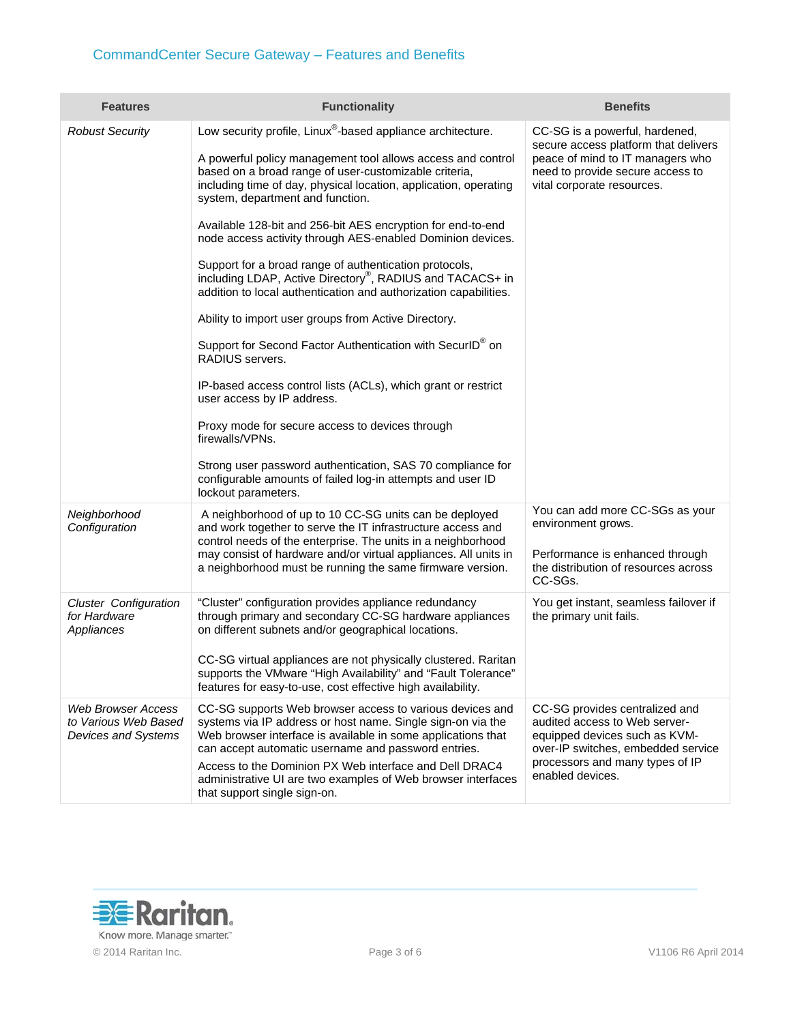## CommandCenter Secure Gateway – Features and Benefits

| <b>Features</b>                                                          | <b>Functionality</b>                                                                                                                                                                                                                                                                                                             | <b>Benefits</b>                                                                                                                                                              |
|--------------------------------------------------------------------------|----------------------------------------------------------------------------------------------------------------------------------------------------------------------------------------------------------------------------------------------------------------------------------------------------------------------------------|------------------------------------------------------------------------------------------------------------------------------------------------------------------------------|
| <b>Robust Security</b>                                                   | Low security profile, Linux <sup>®</sup> -based appliance architecture.<br>A powerful policy management tool allows access and control<br>based on a broad range of user-customizable criteria,<br>including time of day, physical location, application, operating<br>system, department and function.                          | CC-SG is a powerful, hardened,<br>secure access platform that delivers<br>peace of mind to IT managers who<br>need to provide secure access to<br>vital corporate resources. |
|                                                                          | Available 128-bit and 256-bit AES encryption for end-to-end<br>node access activity through AES-enabled Dominion devices.<br>Support for a broad range of authentication protocols,<br>including LDAP, Active Directory <sup>®</sup> , RADIUS and TACACS+ in<br>addition to local authentication and authorization capabilities. |                                                                                                                                                                              |
|                                                                          | Ability to import user groups from Active Directory.                                                                                                                                                                                                                                                                             |                                                                                                                                                                              |
|                                                                          | Support for Second Factor Authentication with SecurID® on<br>RADIUS servers.                                                                                                                                                                                                                                                     |                                                                                                                                                                              |
|                                                                          | IP-based access control lists (ACLs), which grant or restrict<br>user access by IP address.                                                                                                                                                                                                                                      |                                                                                                                                                                              |
|                                                                          | Proxy mode for secure access to devices through<br>firewalls/VPNs.                                                                                                                                                                                                                                                               |                                                                                                                                                                              |
|                                                                          | Strong user password authentication, SAS 70 compliance for<br>configurable amounts of failed log-in attempts and user ID<br>lockout parameters.                                                                                                                                                                                  |                                                                                                                                                                              |
| Neighborhood<br>Configuration                                            | A neighborhood of up to 10 CC-SG units can be deployed<br>and work together to serve the IT infrastructure access and<br>control needs of the enterprise. The units in a neighborhood                                                                                                                                            | You can add more CC-SGs as your<br>environment grows.                                                                                                                        |
|                                                                          | may consist of hardware and/or virtual appliances. All units in<br>a neighborhood must be running the same firmware version.                                                                                                                                                                                                     | Performance is enhanced through<br>the distribution of resources across<br>CC-SGs.                                                                                           |
| <b>Cluster Configuration</b><br>for Hardware<br>Appliances               | "Cluster" configuration provides appliance redundancy<br>through primary and secondary CC-SG hardware appliances<br>on different subnets and/or geographical locations.                                                                                                                                                          | You get instant, seamless failover if<br>the primary unit fails.                                                                                                             |
|                                                                          | CC-SG virtual appliances are not physically clustered. Raritan<br>supports the VMware "High Availability" and "Fault Tolerance"<br>features for easy-to-use, cost effective high availability.                                                                                                                                   |                                                                                                                                                                              |
| <b>Web Browser Access</b><br>to Various Web Based<br>Devices and Systems | CC-SG supports Web browser access to various devices and<br>systems via IP address or host name. Single sign-on via the<br>Web browser interface is available in some applications that<br>can accept automatic username and password entries.                                                                                   | CC-SG provides centralized and<br>audited access to Web server-<br>equipped devices such as KVM-<br>over-IP switches, embedded service                                       |
|                                                                          | Access to the Dominion PX Web interface and Dell DRAC4<br>administrative UI are two examples of Web browser interfaces<br>that support single sign-on.                                                                                                                                                                           | processors and many types of IP<br>enabled devices.                                                                                                                          |

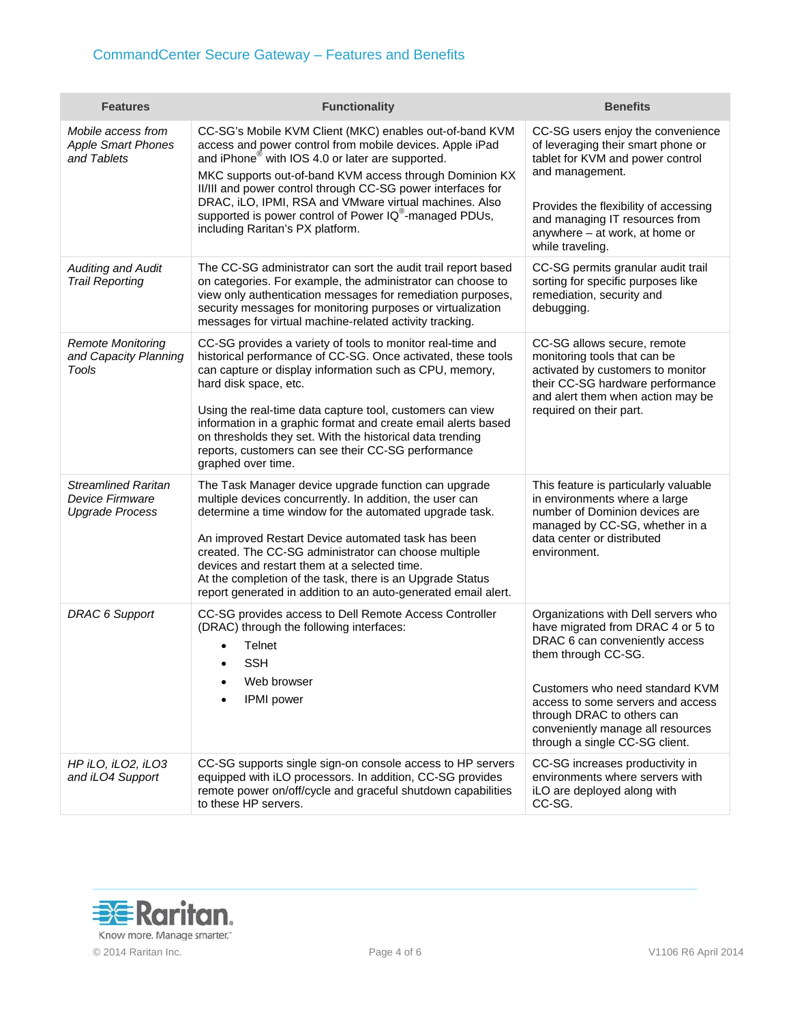| <b>Features</b>                                                                | <b>Functionality</b>                                                                                                                                                                                                                                                                                                                                                                                                                                                                  | <b>Benefits</b>                                                                                                                                                                                                                                                                                                |
|--------------------------------------------------------------------------------|---------------------------------------------------------------------------------------------------------------------------------------------------------------------------------------------------------------------------------------------------------------------------------------------------------------------------------------------------------------------------------------------------------------------------------------------------------------------------------------|----------------------------------------------------------------------------------------------------------------------------------------------------------------------------------------------------------------------------------------------------------------------------------------------------------------|
| Mobile access from<br><b>Apple Smart Phones</b><br>and Tablets                 | CC-SG's Mobile KVM Client (MKC) enables out-of-band KVM<br>access and power control from mobile devices. Apple iPad<br>and iPhone <sup>®</sup> with IOS 4.0 or later are supported.<br>MKC supports out-of-band KVM access through Dominion KX<br>II/III and power control through CC-SG power interfaces for<br>DRAC, iLO, IPMI, RSA and VMware virtual machines. Also<br>supported is power control of Power IQ®-managed PDUs,<br>including Raritan's PX platform.                  | CC-SG users enjoy the convenience<br>of leveraging their smart phone or<br>tablet for KVM and power control<br>and management.<br>Provides the flexibility of accessing<br>and managing IT resources from<br>anywhere - at work, at home or<br>while traveling.                                                |
| <b>Auditing and Audit</b><br><b>Trail Reporting</b>                            | The CC-SG administrator can sort the audit trail report based<br>on categories. For example, the administrator can choose to<br>view only authentication messages for remediation purposes,<br>security messages for monitoring purposes or virtualization<br>messages for virtual machine-related activity tracking.                                                                                                                                                                 | CC-SG permits granular audit trail<br>sorting for specific purposes like<br>remediation, security and<br>debugging.                                                                                                                                                                                            |
| <b>Remote Monitoring</b><br>and Capacity Planning<br>Tools                     | CC-SG provides a variety of tools to monitor real-time and<br>historical performance of CC-SG. Once activated, these tools<br>can capture or display information such as CPU, memory,<br>hard disk space, etc.<br>Using the real-time data capture tool, customers can view<br>information in a graphic format and create email alerts based<br>on thresholds they set. With the historical data trending<br>reports, customers can see their CC-SG performance<br>graphed over time. | CC-SG allows secure, remote<br>monitoring tools that can be<br>activated by customers to monitor<br>their CC-SG hardware performance<br>and alert them when action may be<br>required on their part.                                                                                                           |
| <b>Streamlined Raritan</b><br><b>Device Firmware</b><br><b>Upgrade Process</b> | The Task Manager device upgrade function can upgrade<br>multiple devices concurrently. In addition, the user can<br>determine a time window for the automated upgrade task.<br>An improved Restart Device automated task has been<br>created. The CC-SG administrator can choose multiple<br>devices and restart them at a selected time.<br>At the completion of the task, there is an Upgrade Status<br>report generated in addition to an auto-generated email alert.              | This feature is particularly valuable<br>in environments where a large<br>number of Dominion devices are<br>managed by CC-SG, whether in a<br>data center or distributed<br>environment.                                                                                                                       |
| <b>DRAC 6 Support</b>                                                          | CC-SG provides access to Dell Remote Access Controller<br>(DRAC) through the following interfaces:<br>Telnet<br><b>SSH</b><br>Web browser<br><b>IPMI</b> power                                                                                                                                                                                                                                                                                                                        | Organizations with Dell servers who<br>have migrated from DRAC 4 or 5 to<br>DRAC 6 can conveniently access<br>them through CC-SG.<br>Customers who need standard KVM<br>access to some servers and access<br>through DRAC to others can<br>conveniently manage all resources<br>through a single CC-SG client. |
| HP iLO, iLO2, iLO3<br>and iLO4 Support                                         | CC-SG supports single sign-on console access to HP servers<br>equipped with iLO processors. In addition, CC-SG provides<br>remote power on/off/cycle and graceful shutdown capabilities<br>to these HP servers.                                                                                                                                                                                                                                                                       | CC-SG increases productivity in<br>environments where servers with<br>iLO are deployed along with<br>CC-SG.                                                                                                                                                                                                    |

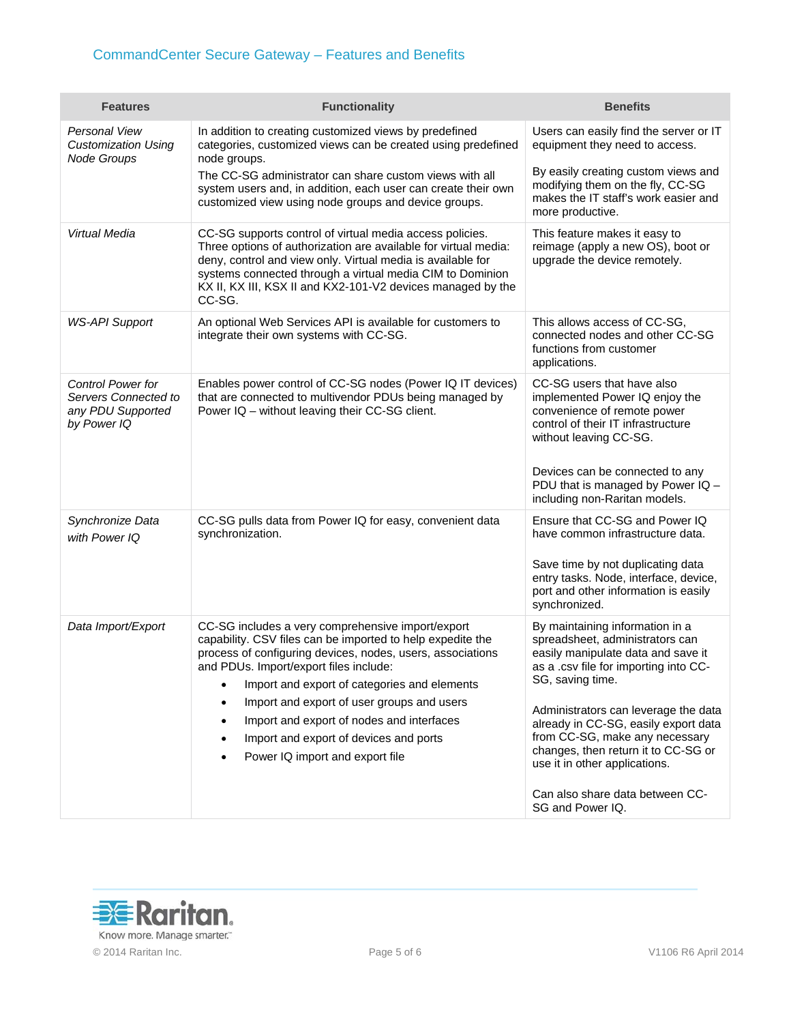## CommandCenter Secure Gateway – Features and Benefits

| <b>Features</b>                                                                      | <b>Functionality</b>                                                                                                                                                                                                                                                                                                                                                                                                                                      | <b>Benefits</b>                                                                                                                                                                                                                     |
|--------------------------------------------------------------------------------------|-----------------------------------------------------------------------------------------------------------------------------------------------------------------------------------------------------------------------------------------------------------------------------------------------------------------------------------------------------------------------------------------------------------------------------------------------------------|-------------------------------------------------------------------------------------------------------------------------------------------------------------------------------------------------------------------------------------|
| <b>Personal View</b><br><b>Customization Using</b><br>Node Groups                    | In addition to creating customized views by predefined<br>categories, customized views can be created using predefined<br>node groups.                                                                                                                                                                                                                                                                                                                    | Users can easily find the server or IT<br>equipment they need to access.                                                                                                                                                            |
|                                                                                      | The CC-SG administrator can share custom views with all<br>system users and, in addition, each user can create their own<br>customized view using node groups and device groups.                                                                                                                                                                                                                                                                          | By easily creating custom views and<br>modifying them on the fly, CC-SG<br>makes the IT staff's work easier and<br>more productive.                                                                                                 |
| Virtual Media                                                                        | CC-SG supports control of virtual media access policies.<br>Three options of authorization are available for virtual media:<br>deny, control and view only. Virtual media is available for<br>systems connected through a virtual media CIM to Dominion<br>KX II, KX III, KSX II and KX2-101-V2 devices managed by the<br>CC-SG.                                                                                                                          | This feature makes it easy to<br>reimage (apply a new OS), boot or<br>upgrade the device remotely.                                                                                                                                  |
| <b>WS-API Support</b>                                                                | An optional Web Services API is available for customers to<br>integrate their own systems with CC-SG.                                                                                                                                                                                                                                                                                                                                                     | This allows access of CC-SG,<br>connected nodes and other CC-SG<br>functions from customer<br>applications.                                                                                                                         |
| <b>Control Power for</b><br>Servers Connected to<br>any PDU Supported<br>by Power IQ | Enables power control of CC-SG nodes (Power IQ IT devices)<br>that are connected to multivendor PDUs being managed by<br>Power IQ - without leaving their CC-SG client.                                                                                                                                                                                                                                                                                   | CC-SG users that have also<br>implemented Power IQ enjoy the<br>convenience of remote power<br>control of their IT infrastructure<br>without leaving CC-SG.<br>Devices can be connected to any<br>PDU that is managed by Power IQ - |
|                                                                                      |                                                                                                                                                                                                                                                                                                                                                                                                                                                           | including non-Raritan models.                                                                                                                                                                                                       |
| Synchronize Data<br>with Power IQ                                                    | CC-SG pulls data from Power IQ for easy, convenient data<br>synchronization.                                                                                                                                                                                                                                                                                                                                                                              | Ensure that CC-SG and Power IQ<br>have common infrastructure data.<br>Save time by not duplicating data<br>entry tasks. Node, interface, device,                                                                                    |
|                                                                                      |                                                                                                                                                                                                                                                                                                                                                                                                                                                           | port and other information is easily<br>synchronized.                                                                                                                                                                               |
| Data Import/Export                                                                   | CC-SG includes a very comprehensive import/export<br>capability. CSV files can be imported to help expedite the<br>process of configuring devices, nodes, users, associations<br>and PDUs. Import/export files include:<br>Import and export of categories and elements<br>٠<br>Import and export of user groups and users<br>٠<br>Import and export of nodes and interfaces<br>Import and export of devices and ports<br>Power IQ import and export file | By maintaining information in a<br>spreadsheet, administrators can<br>easily manipulate data and save it<br>as a .csv file for importing into CC-<br>SG, saving time.<br>Administrators can leverage the data                       |
|                                                                                      |                                                                                                                                                                                                                                                                                                                                                                                                                                                           | already in CC-SG, easily export data<br>from CC-SG, make any necessary<br>changes, then return it to CC-SG or<br>use it in other applications.                                                                                      |
|                                                                                      |                                                                                                                                                                                                                                                                                                                                                                                                                                                           | Can also share data between CC-<br>SG and Power IQ.                                                                                                                                                                                 |